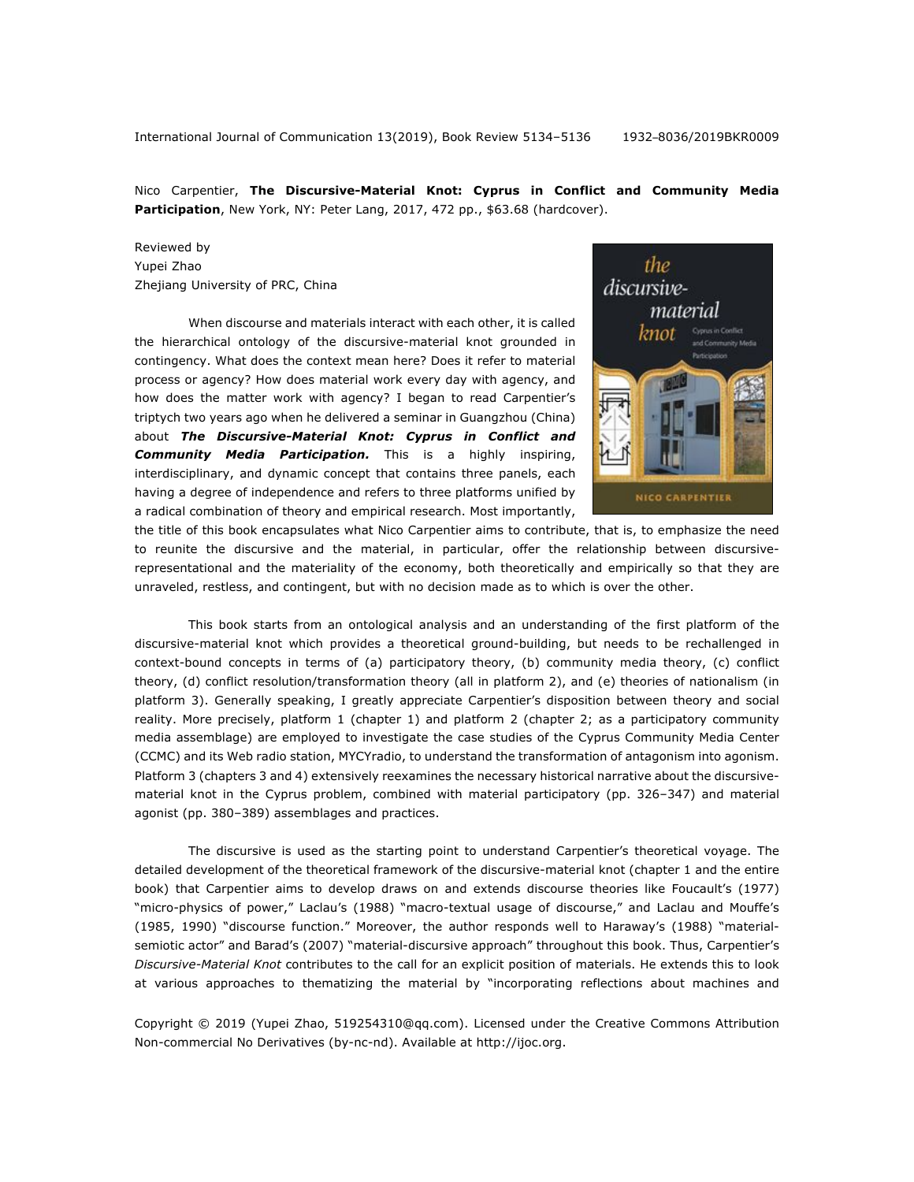Nico Carpentier, **The Discursive-Material Knot: Cyprus in Conflict and Community Media Participation**, New York, NY: Peter Lang, 2017, 472 pp., \$63.68 (hardcover).

## Reviewed by Yupei Zhao Zhejiang University of PRC, China

When discourse and materials interact with each other, it is called the hierarchical ontology of the discursive-material knot grounded in contingency. What does the context mean here? Does it refer to material process or agency? How does material work every day with agency, and how does the matter work with agency? I began to read Carpentier's triptych two years ago when he delivered a seminar in Guangzhou (China) about *The Discursive-Material Knot: Cyprus in Conflict and Community Media Participation.* This is a highly inspiring, interdisciplinary, and dynamic concept that contains three panels, each having a degree of independence and refers to three platforms unified by a radical combination of theory and empirical research. Most importantly,



the title of this book encapsulates what Nico Carpentier aims to contribute, that is, to emphasize the need to reunite the discursive and the material, in particular, offer the relationship between discursiverepresentational and the materiality of the economy, both theoretically and empirically so that they are unraveled, restless, and contingent, but with no decision made as to which is over the other.

This book starts from an ontological analysis and an understanding of the first platform of the discursive-material knot which provides a theoretical ground-building, but needs to be rechallenged in context-bound concepts in terms of (a) participatory theory, (b) community media theory, (c) conflict theory, (d) conflict resolution/transformation theory (all in platform 2), and (e) theories of nationalism (in platform 3). Generally speaking, I greatly appreciate Carpentier's disposition between theory and social reality. More precisely, platform 1 (chapter 1) and platform 2 (chapter 2; as a participatory community media assemblage) are employed to investigate the case studies of the Cyprus Community Media Center (CCMC) and its Web radio station, MYCYradio, to understand the transformation of antagonism into agonism. Platform 3 (chapters 3 and 4) extensively reexamines the necessary historical narrative about the discursivematerial knot in the Cyprus problem, combined with material participatory (pp. 326-347) and material agonist (pp. 380-389) assemblages and practices.

The discursive is used as the starting point to understand Carpentier's theoretical voyage. The detailed development of the theoretical framework of the discursive-material knot (chapter 1 and the entire book) that Carpentier aims to develop draws on and extends discourse theories like Foucault's (1977) "micro-physics of power," Laclau's (1988) "macro-textual usage of discourse," and Laclau and Mouffe's (1985, 1990) "discourse function." Moreover, the author responds well to Haraway's (1988) "materialsemiotic actor" and Barad's (2007) "material-discursive approach" throughout this book. Thus, Carpentier's *Discursive-Material Knot* contributes to the call for an explicit position of materials. He extends this to look at various approaches to thematizing the material by "incorporating reflections about machines and

Copyright © 2019 (Yupei Zhao, 519254310@qq.com). Licensed under the Creative Commons Attribution Non-commercial No Derivatives (by-nc-nd). Available at http://ijoc.org.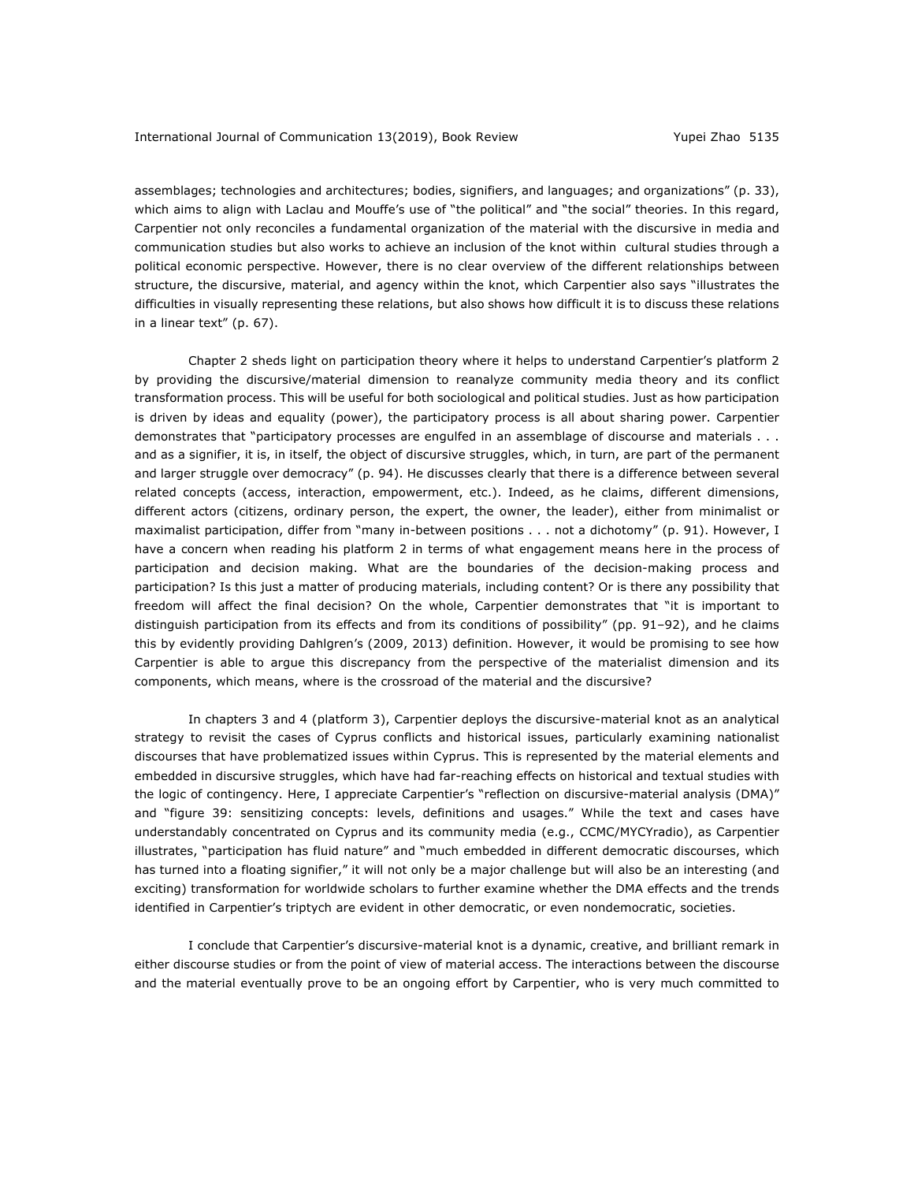assemblages; technologies and architectures; bodies, signifiers, and languages; and organizations" (p. 33), which aims to align with Laclau and Mouffe's use of "the political" and "the social" theories. In this regard, Carpentier not only reconciles a fundamental organization of the material with the discursive in media and communication studies but also works to achieve an inclusion of the knot within cultural studies through a political economic perspective. However, there is no clear overview of the different relationships between structure, the discursive, material, and agency within the knot, which Carpentier also says "illustrates the difficulties in visually representing these relations, but also shows how difficult it is to discuss these relations in a linear text" (p. 67).

Chapter 2 sheds light on participation theory where it helps to understand Carpentier's platform 2 by providing the discursive/material dimension to reanalyze community media theory and its conflict transformation process. This will be useful for both sociological and political studies. Just as how participation is driven by ideas and equality (power), the participatory process is all about sharing power. Carpentier demonstrates that "participatory processes are engulfed in an assemblage of discourse and materials . . . and as a signifier, it is, in itself, the object of discursive struggles, which, in turn, are part of the permanent and larger struggle over democracy" (p. 94). He discusses clearly that there is a difference between several related concepts (access, interaction, empowerment, etc.). Indeed, as he claims, different dimensions, different actors (citizens, ordinary person, the expert, the owner, the leader), either from minimalist or maximalist participation, differ from "many in-between positions . . . not a dichotomy" (p. 91). However, I have a concern when reading his platform 2 in terms of what engagement means here in the process of participation and decision making. What are the boundaries of the decision-making process and participation? Is this just a matter of producing materials, including content? Or is there any possibility that freedom will affect the final decision? On the whole, Carpentier demonstrates that "it is important to distinguish participation from its effects and from its conditions of possibility" (pp. 91-92), and he claims this by evidently providing Dahlgren's (2009, 2013) definition. However, it would be promising to see how Carpentier is able to argue this discrepancy from the perspective of the materialist dimension and its components, which means, where is the crossroad of the material and the discursive?

In chapters 3 and 4 (platform 3), Carpentier deploys the discursive-material knot as an analytical strategy to revisit the cases of Cyprus conflicts and historical issues, particularly examining nationalist discourses that have problematized issues within Cyprus. This is represented by the material elements and embedded in discursive struggles, which have had far-reaching effects on historical and textual studies with the logic of contingency. Here, I appreciate Carpentier's "reflection on discursive-material analysis (DMA)" and "figure 39: sensitizing concepts: levels, definitions and usages." While the text and cases have understandably concentrated on Cyprus and its community media (e.g., CCMC/MYCYradio), as Carpentier illustrates, "participation has fluid nature" and "much embedded in different democratic discourses, which has turned into a floating signifier," it will not only be a major challenge but will also be an interesting (and exciting) transformation for worldwide scholars to further examine whether the DMA effects and the trends identified in Carpentier's triptych are evident in other democratic, or even nondemocratic, societies.

I conclude that Carpentier's discursive-material knot is a dynamic, creative, and brilliant remark in either discourse studies or from the point of view of material access. The interactions between the discourse and the material eventually prove to be an ongoing effort by Carpentier, who is very much committed to